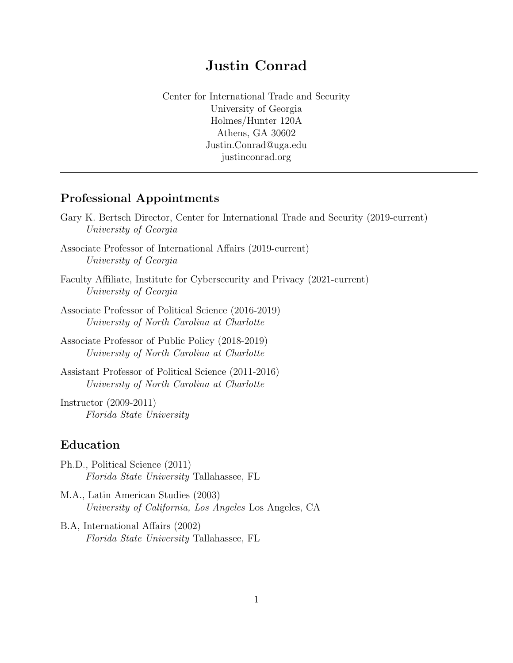# Justin Conrad

Center for International Trade and Security University of Georgia Holmes/Hunter 120A Athens, GA 30602 Justin.Conrad@uga.edu justinconrad.org

### Professional Appointments

|                       | Gary K. Bertsch Director, Center for International Trade and Security (2019-current) |  |  |
|-----------------------|--------------------------------------------------------------------------------------|--|--|
| University of Georgia |                                                                                      |  |  |

- Associate Professor of International Affairs (2019-current) University of Georgia
- Faculty Affiliate, Institute for Cybersecurity and Privacy (2021-current) University of Georgia
- Associate Professor of Political Science (2016-2019) University of North Carolina at Charlotte
- Associate Professor of Public Policy (2018-2019) University of North Carolina at Charlotte
- Assistant Professor of Political Science (2011-2016) University of North Carolina at Charlotte

Instructor (2009-2011) Florida State University

#### Education

- Ph.D., Political Science (2011) Florida State University Tallahassee, FL
- M.A., Latin American Studies (2003) University of California, Los Angeles Los Angeles, CA
- B.A, International Affairs (2002) Florida State University Tallahassee, FL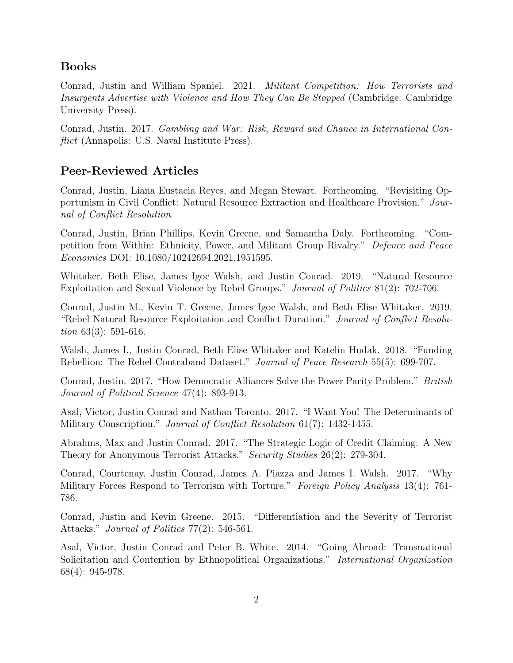## Books

Conrad, Justin and William Spaniel. 2021. Militant Competition: How Terrorists and Insurgents Advertise with Violence and How They Can Be Stopped (Cambridge: Cambridge University Press).

Conrad, Justin. 2017. Gambling and War: Risk, Reward and Chance in International Conflict (Annapolis: U.S. Naval Institute Press).

# Peer-Reviewed Articles

Conrad, Justin, Liana Eustacia Reyes, and Megan Stewart. Forthcoming. "Revisiting Opportunism in Civil Conflict: Natural Resource Extraction and Healthcare Provision." Journal of Conflict Resolution.

Conrad, Justin, Brian Phillips, Kevin Greene, and Samantha Daly. Forthcoming. "Competition from Within: Ethnicity, Power, and Militant Group Rivalry." Defence and Peace Economics DOI: 10.1080/10242694.2021.1951595.

Whitaker, Beth Elise, James Igoe Walsh, and Justin Conrad. 2019. "Natural Resource Exploitation and Sexual Violence by Rebel Groups." Journal of Politics 81(2): 702-706.

Conrad, Justin M., Kevin T. Greene, James Igoe Walsh, and Beth Elise Whitaker. 2019. "Rebel Natural Resource Exploitation and Conflict Duration." Journal of Conflict Resolution 63(3): 591-616.

Walsh, James I., Justin Conrad, Beth Elise Whitaker and Katelin Hudak. 2018. "Funding Rebellion: The Rebel Contraband Dataset." Journal of Peace Research 55(5): 699-707.

Conrad, Justin. 2017. "How Democratic Alliances Solve the Power Parity Problem." British Journal of Political Science 47(4): 893-913.

Asal, Victor, Justin Conrad and Nathan Toronto. 2017. "I Want You! The Determinants of Military Conscription." Journal of Conflict Resolution 61(7): 1432-1455.

Abrahms, Max and Justin Conrad. 2017. "The Strategic Logic of Credit Claiming: A New Theory for Anonymous Terrorist Attacks." Security Studies 26(2): 279-304.

Conrad, Courtenay, Justin Conrad, James A. Piazza and James I. Walsh. 2017. "Why Military Forces Respond to Terrorism with Torture." Foreign Policy Analysis 13(4): 761-786.

Conrad, Justin and Kevin Greene. 2015. "Differentiation and the Severity of Terrorist Attacks." Journal of Politics 77(2): 546-561.

Asal, Victor, Justin Conrad and Peter B. White. 2014. "Going Abroad: Transnational Solicitation and Contention by Ethnopolitical Organizations." International Organization 68(4): 945-978.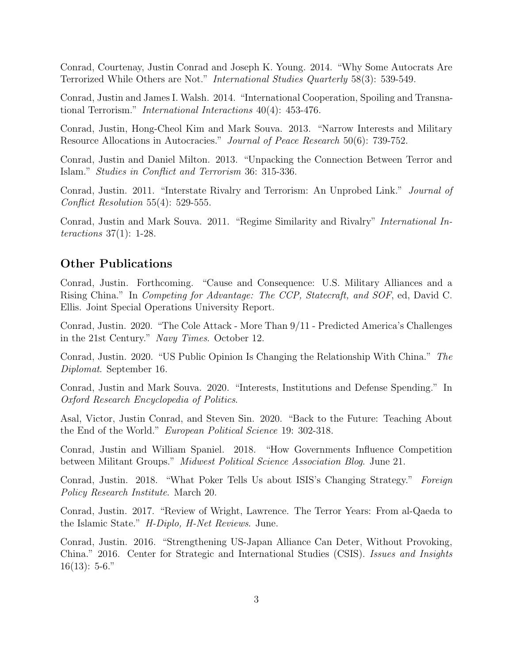Conrad, Courtenay, Justin Conrad and Joseph K. Young. 2014. "Why Some Autocrats Are Terrorized While Others are Not." International Studies Quarterly 58(3): 539-549.

Conrad, Justin and James I. Walsh. 2014. "International Cooperation, Spoiling and Transnational Terrorism." International Interactions 40(4): 453-476.

Conrad, Justin, Hong-Cheol Kim and Mark Souva. 2013. "Narrow Interests and Military Resource Allocations in Autocracies." Journal of Peace Research 50(6): 739-752.

Conrad, Justin and Daniel Milton. 2013. "Unpacking the Connection Between Terror and Islam." Studies in Conflict and Terrorism 36: 315-336.

Conrad, Justin. 2011. "Interstate Rivalry and Terrorism: An Unprobed Link." Journal of Conflict Resolution 55(4): 529-555.

Conrad, Justin and Mark Souva. 2011. "Regime Similarity and Rivalry" International Interactions 37(1): 1-28.

### Other Publications

Conrad, Justin. Forthcoming. "Cause and Consequence: U.S. Military Alliances and a Rising China." In Competing for Advantage: The CCP, Statecraft, and SOF, ed, David C. Ellis. Joint Special Operations University Report.

Conrad, Justin. 2020. "The Cole Attack - More Than 9/11 - Predicted America's Challenges in the 21st Century." Navy Times. October 12.

Conrad, Justin. 2020. "US Public Opinion Is Changing the Relationship With China." The Diplomat. September 16.

Conrad, Justin and Mark Souva. 2020. "Interests, Institutions and Defense Spending." In Oxford Research Encyclopedia of Politics.

Asal, Victor, Justin Conrad, and Steven Sin. 2020. "Back to the Future: Teaching About the End of the World." European Political Science 19: 302-318.

Conrad, Justin and William Spaniel. 2018. "How Governments Influence Competition between Militant Groups." Midwest Political Science Association Blog. June 21.

Conrad, Justin. 2018. "What Poker Tells Us about ISIS's Changing Strategy." Foreign Policy Research Institute. March 20.

Conrad, Justin. 2017. "Review of Wright, Lawrence. The Terror Years: From al-Qaeda to the Islamic State." H-Diplo, H-Net Reviews. June.

Conrad, Justin. 2016. "Strengthening US-Japan Alliance Can Deter, Without Provoking, China." 2016. Center for Strategic and International Studies (CSIS). Issues and Insights  $16(13): 5-6."$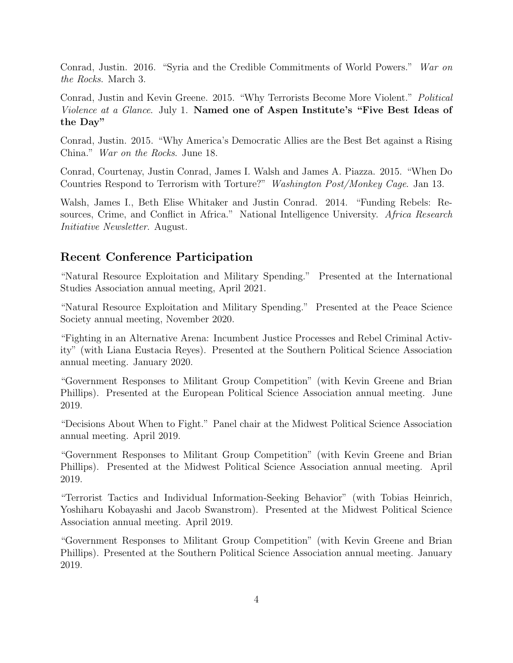Conrad, Justin. 2016. "Syria and the Credible Commitments of World Powers." War on the Rocks. March 3.

Conrad, Justin and Kevin Greene. 2015. "Why Terrorists Become More Violent." Political Violence at a Glance. July 1. Named one of Aspen Institute's "Five Best Ideas of the Day"

Conrad, Justin. 2015. "Why America's Democratic Allies are the Best Bet against a Rising China." War on the Rocks. June 18.

Conrad, Courtenay, Justin Conrad, James I. Walsh and James A. Piazza. 2015. "When Do Countries Respond to Terrorism with Torture?" Washington Post/Monkey Cage. Jan 13.

Walsh, James I., Beth Elise Whitaker and Justin Conrad. 2014. "Funding Rebels: Resources, Crime, and Conflict in Africa." National Intelligence University. Africa Research Initiative Newsletter. August.

## Recent Conference Participation

"Natural Resource Exploitation and Military Spending." Presented at the International Studies Association annual meeting, April 2021.

"Natural Resource Exploitation and Military Spending." Presented at the Peace Science Society annual meeting, November 2020.

"Fighting in an Alternative Arena: Incumbent Justice Processes and Rebel Criminal Activity" (with Liana Eustacia Reyes). Presented at the Southern Political Science Association annual meeting. January 2020.

"Government Responses to Militant Group Competition" (with Kevin Greene and Brian Phillips). Presented at the European Political Science Association annual meeting. June 2019.

"Decisions About When to Fight." Panel chair at the Midwest Political Science Association annual meeting. April 2019.

"Government Responses to Militant Group Competition" (with Kevin Greene and Brian Phillips). Presented at the Midwest Political Science Association annual meeting. April 2019.

"Terrorist Tactics and Individual Information-Seeking Behavior" (with Tobias Heinrich, Yoshiharu Kobayashi and Jacob Swanstrom). Presented at the Midwest Political Science Association annual meeting. April 2019.

"Government Responses to Militant Group Competition" (with Kevin Greene and Brian Phillips). Presented at the Southern Political Science Association annual meeting. January 2019.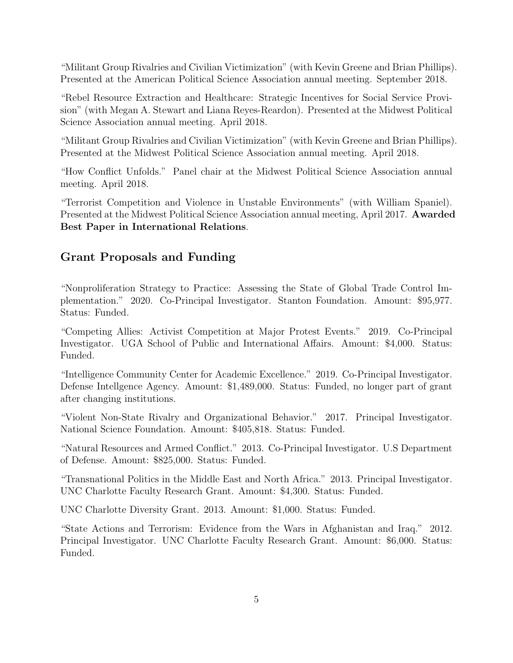"Militant Group Rivalries and Civilian Victimization" (with Kevin Greene and Brian Phillips). Presented at the American Political Science Association annual meeting. September 2018.

"Rebel Resource Extraction and Healthcare: Strategic Incentives for Social Service Provision" (with Megan A. Stewart and Liana Reyes-Reardon). Presented at the Midwest Political Science Association annual meeting. April 2018.

"Militant Group Rivalries and Civilian Victimization" (with Kevin Greene and Brian Phillips). Presented at the Midwest Political Science Association annual meeting. April 2018.

"How Conflict Unfolds." Panel chair at the Midwest Political Science Association annual meeting. April 2018.

"Terrorist Competition and Violence in Unstable Environments" (with William Spaniel). Presented at the Midwest Political Science Association annual meeting, April 2017. Awarded Best Paper in International Relations.

## Grant Proposals and Funding

"Nonproliferation Strategy to Practice: Assessing the State of Global Trade Control Implementation." 2020. Co-Principal Investigator. Stanton Foundation. Amount: \$95,977. Status: Funded.

"Competing Allies: Activist Competition at Major Protest Events." 2019. Co-Principal Investigator. UGA School of Public and International Affairs. Amount: \$4,000. Status: Funded.

"Intelligence Community Center for Academic Excellence." 2019. Co-Principal Investigator. Defense Intellgence Agency. Amount: \$1,489,000. Status: Funded, no longer part of grant after changing institutions.

"Violent Non-State Rivalry and Organizational Behavior." 2017. Principal Investigator. National Science Foundation. Amount: \$405,818. Status: Funded.

"Natural Resources and Armed Conflict." 2013. Co-Principal Investigator. U.S Department of Defense. Amount: \$825,000. Status: Funded.

"Transnational Politics in the Middle East and North Africa." 2013. Principal Investigator. UNC Charlotte Faculty Research Grant. Amount: \$4,300. Status: Funded.

UNC Charlotte Diversity Grant. 2013. Amount: \$1,000. Status: Funded.

"State Actions and Terrorism: Evidence from the Wars in Afghanistan and Iraq." 2012. Principal Investigator. UNC Charlotte Faculty Research Grant. Amount: \$6,000. Status: Funded.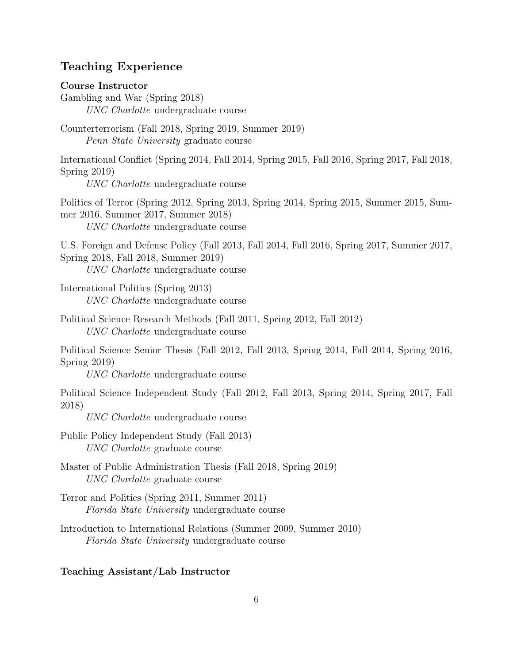## Teaching Experience

#### Course Instructor

Gambling and War (Spring 2018) UNC Charlotte undergraduate course

Counterterrorism (Fall 2018, Spring 2019, Summer 2019) Penn State University graduate course

International Conflict (Spring 2014, Fall 2014, Spring 2015, Fall 2016, Spring 2017, Fall 2018, Spring 2019)

UNC Charlotte undergraduate course

Politics of Terror (Spring 2012, Spring 2013, Spring 2014, Spring 2015, Summer 2015, Summer 2016, Summer 2017, Summer 2018) UNC Charlotte undergraduate course

U.S. Foreign and Defense Policy (Fall 2013, Fall 2014, Fall 2016, Spring 2017, Summer 2017, Spring 2018, Fall 2018, Summer 2019) UNC Charlotte undergraduate course

International Politics (Spring 2013)

UNC Charlotte undergraduate course

Political Science Research Methods (Fall 2011, Spring 2012, Fall 2012) UNC Charlotte undergraduate course

Political Science Senior Thesis (Fall 2012, Fall 2013, Spring 2014, Fall 2014, Spring 2016, Spring 2019)

UNC Charlotte undergraduate course

Political Science Independent Study (Fall 2012, Fall 2013, Spring 2014, Spring 2017, Fall 2018)

UNC Charlotte undergraduate course

Public Policy Independent Study (Fall 2013) UNC Charlotte graduate course

- Master of Public Administration Thesis (Fall 2018, Spring 2019) UNC Charlotte graduate course
- Terror and Politics (Spring 2011, Summer 2011) Florida State University undergraduate course
- Introduction to International Relations (Summer 2009, Summer 2010) Florida State University undergraduate course

#### Teaching Assistant/Lab Instructor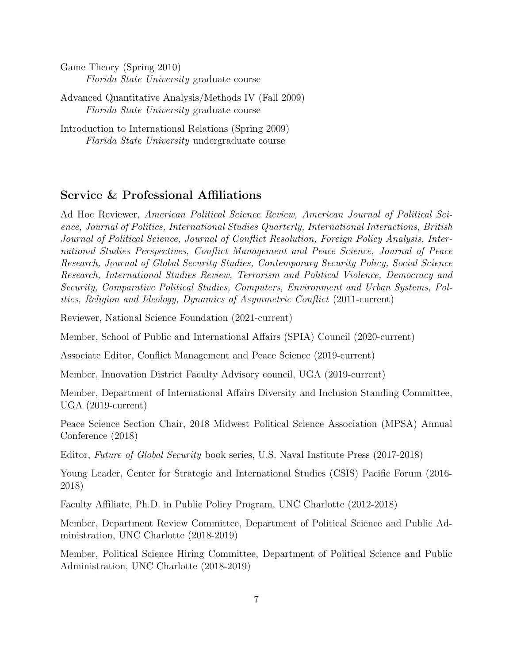Game Theory (Spring 2010) Florida State University graduate course

Advanced Quantitative Analysis/Methods IV (Fall 2009) Florida State University graduate course

Introduction to International Relations (Spring 2009) Florida State University undergraduate course

### Service & Professional Affiliations

Ad Hoc Reviewer, American Political Science Review, American Journal of Political Science, Journal of Politics, International Studies Quarterly, International Interactions, British Journal of Political Science, Journal of Conflict Resolution, Foreign Policy Analysis, International Studies Perspectives, Conflict Management and Peace Science, Journal of Peace Research, Journal of Global Security Studies, Contemporary Security Policy, Social Science Research, International Studies Review, Terrorism and Political Violence, Democracy and Security, Comparative Political Studies, Computers, Environment and Urban Systems, Politics, Religion and Ideology, Dynamics of Asymmetric Conflict (2011-current)

Reviewer, National Science Foundation (2021-current)

Member, School of Public and International Affairs (SPIA) Council (2020-current)

Associate Editor, Conflict Management and Peace Science (2019-current)

Member, Innovation District Faculty Advisory council, UGA (2019-current)

Member, Department of International Affairs Diversity and Inclusion Standing Committee, UGA (2019-current)

Peace Science Section Chair, 2018 Midwest Political Science Association (MPSA) Annual Conference (2018)

Editor, Future of Global Security book series, U.S. Naval Institute Press (2017-2018)

Young Leader, Center for Strategic and International Studies (CSIS) Pacific Forum (2016- 2018)

Faculty Affiliate, Ph.D. in Public Policy Program, UNC Charlotte (2012-2018)

Member, Department Review Committee, Department of Political Science and Public Administration, UNC Charlotte (2018-2019)

Member, Political Science Hiring Committee, Department of Political Science and Public Administration, UNC Charlotte (2018-2019)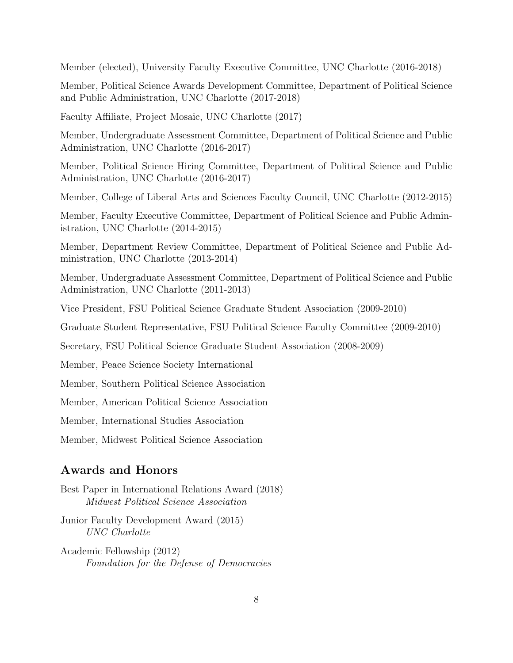Member (elected), University Faculty Executive Committee, UNC Charlotte (2016-2018)

Member, Political Science Awards Development Committee, Department of Political Science and Public Administration, UNC Charlotte (2017-2018)

Faculty Affiliate, Project Mosaic, UNC Charlotte (2017)

Member, Undergraduate Assessment Committee, Department of Political Science and Public Administration, UNC Charlotte (2016-2017)

Member, Political Science Hiring Committee, Department of Political Science and Public Administration, UNC Charlotte (2016-2017)

Member, College of Liberal Arts and Sciences Faculty Council, UNC Charlotte (2012-2015)

Member, Faculty Executive Committee, Department of Political Science and Public Administration, UNC Charlotte (2014-2015)

Member, Department Review Committee, Department of Political Science and Public Administration, UNC Charlotte (2013-2014)

Member, Undergraduate Assessment Committee, Department of Political Science and Public Administration, UNC Charlotte (2011-2013)

Vice President, FSU Political Science Graduate Student Association (2009-2010)

Graduate Student Representative, FSU Political Science Faculty Committee (2009-2010)

Secretary, FSU Political Science Graduate Student Association (2008-2009)

Member, Peace Science Society International

Member, Southern Political Science Association

Member, American Political Science Association

Member, International Studies Association

Member, Midwest Political Science Association

## Awards and Honors

Best Paper in International Relations Award (2018) Midwest Political Science Association

Junior Faculty Development Award (2015) UNC Charlotte

Academic Fellowship (2012) Foundation for the Defense of Democracies